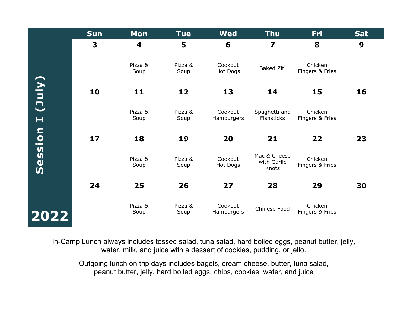|                                     | <b>Sun</b> | Mon             | <b>Tue</b>      | <b>Wed</b>            | <b>Thu</b>                           | <b>Fri</b>                 | <b>Sat</b> |
|-------------------------------------|------------|-----------------|-----------------|-----------------------|--------------------------------------|----------------------------|------------|
|                                     | 3          | 4               | 5               | 6                     | 7                                    | 8                          | 9          |
|                                     |            | Pizza &<br>Soup | Pizza &<br>Soup | Cookout<br>Hot Dogs   | <b>Baked Ziti</b>                    | Chicken<br>Fingers & Fries |            |
|                                     | 10         | $11$            | 12              | 13                    | 14                                   | 15                         | 16         |
| (July)<br>$\blacksquare$            |            | Pizza &<br>Soup | Pizza &<br>Soup | Cookout<br>Hamburgers | Spaghetti and<br><b>Fishsticks</b>   | Chicken<br>Fingers & Fries |            |
|                                     | 17         | 18              | 19              | 20                    | 21                                   | 22                         | 23         |
| ession<br>$\boldsymbol{\mathsf{S}}$ |            | Pizza &<br>Soup | Pizza &<br>Soup | Cookout<br>Hot Dogs   | Mac & Cheese<br>with Garlic<br>Knots | Chicken<br>Fingers & Fries |            |
|                                     | 24         | 25              | 26              | 27                    | 28                                   | 29                         | 30         |
| 2022                                |            | Pizza &<br>Soup | Pizza &<br>Soup | Cookout<br>Hamburgers | Chinese Food                         | Chicken<br>Fingers & Fries |            |

In-Camp Lunch always includes tossed salad, tuna salad, hard boiled eggs, peanut butter, jelly, water, milk, and juice with a dessert of cookies, pudding, or jello.

Outgoing lunch on trip days includes bagels, cream cheese, butter, tuna salad, peanut butter, jelly, hard boiled eggs, chips, cookies, water, and juice